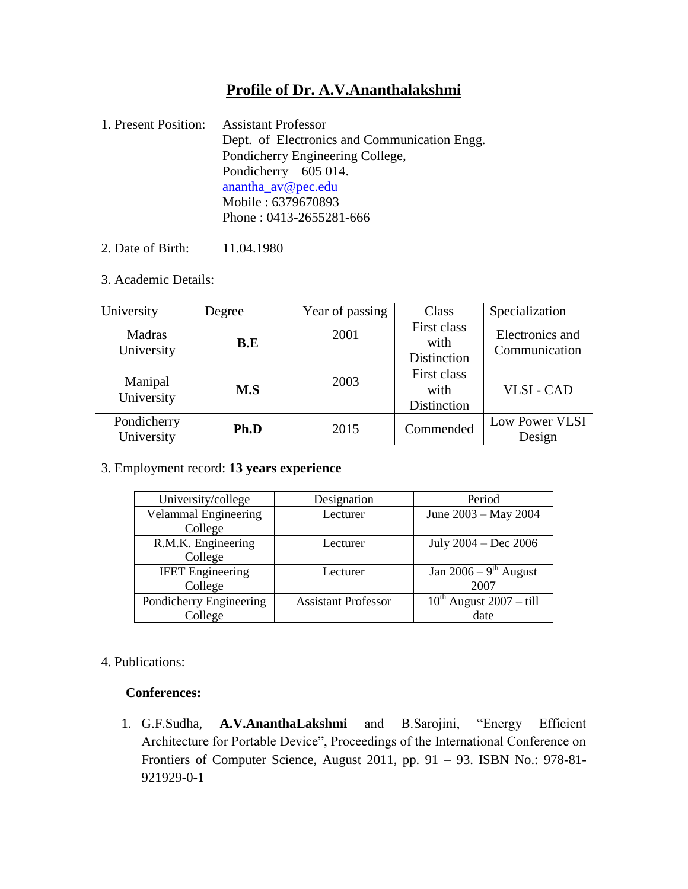# **Profile of Dr. A.V.Ananthalakshmi**

- 1. Present Position: Assistant Professor Dept. of Electronics and Communication Engg. Pondicherry Engineering College, Pondicherry – 605 014. [anantha\\_av@pec.edu](mailto:anantha_av@pec.edu) Mobile : 6379670893 Phone : 0413-2655281-666
- 2. Date of Birth: 11.04.1980
- 3. Academic Details:

| University                | Degree | Year of passing | Class                              | Specialization                   |
|---------------------------|--------|-----------------|------------------------------------|----------------------------------|
| Madras<br>University      | B.E    | 2001            | First class<br>with<br>Distinction | Electronics and<br>Communication |
| Manipal<br>University     | M.S    | 2003            | First class<br>with<br>Distinction | <b>VLSI-CAD</b>                  |
| Pondicherry<br>University | Ph.D   | 2015            | Commended                          | Low Power VLSI<br>Design         |

3. Employment record: **13 years experience**

| University/college          | Designation                | Period                         |
|-----------------------------|----------------------------|--------------------------------|
| <b>Velammal Engineering</b> | Lecturer                   | June 2003 – May 2004           |
| College                     |                            |                                |
| R.M.K. Engineering          | Lecturer                   | July $2004 - Dec 2006$         |
| College                     |                            |                                |
| <b>IFET</b> Engineering     | Lecturer                   | Jan 2006 – $9th$ August        |
| College                     |                            | 2007                           |
| Pondicherry Engineering     | <b>Assistant Professor</b> | $10^{th}$ August $2007 -$ till |
| College                     |                            | date                           |

### 4. Publications:

#### **Conferences:**

1. G.F.Sudha, **A.V.AnanthaLakshmi** and B.Sarojini, "Energy Efficient Architecture for Portable Device", Proceedings of the International Conference on Frontiers of Computer Science, August 2011, pp. 91 – 93. ISBN No.: 978-81- 921929-0-1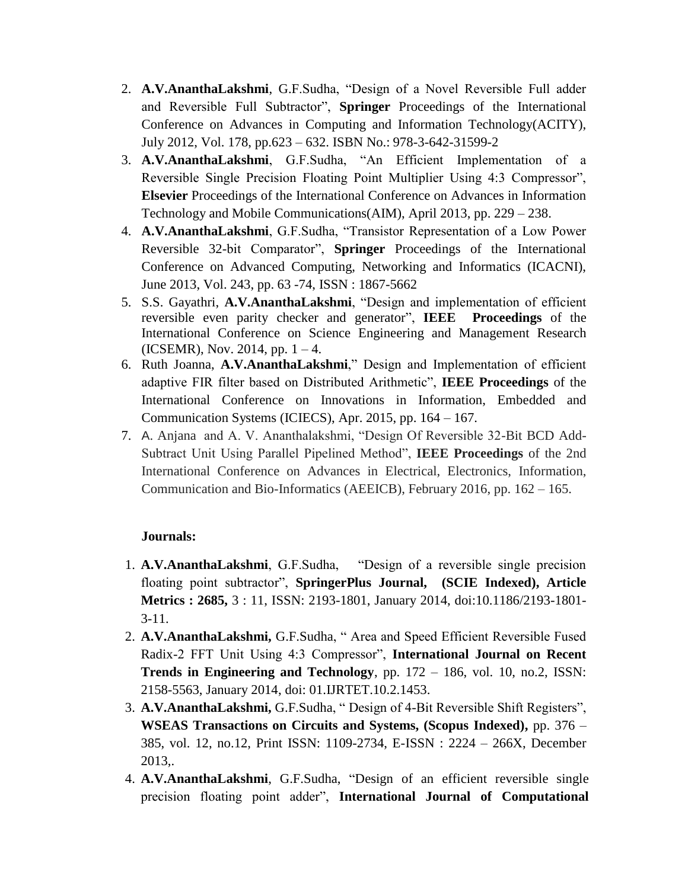- 2. **A.V.AnanthaLakshmi**, G.F.Sudha, "Design of a Novel Reversible Full adder and Reversible Full Subtractor", **Springer** Proceedings of the International Conference on Advances in Computing and Information Technology(ACITY), July 2012, Vol. 178, pp.623 – 632. ISBN No.: 978-3-642-31599-2
- 3. **A.V.AnanthaLakshmi**, G.F.Sudha, "An Efficient Implementation of a Reversible Single Precision Floating Point Multiplier Using 4:3 Compressor", **Elsevier** Proceedings of the International Conference on Advances in Information Technology and Mobile Communications(AIM), April 2013, pp. 229 – 238.
- 4. **A.V.AnanthaLakshmi**, G.F.Sudha, "Transistor Representation of a Low Power Reversible 32-bit Comparator", **Springer** Proceedings of the International Conference on Advanced Computing, Networking and Informatics (ICACNI), June 2013, Vol. 243, pp. 63 -74, ISSN : 1867-5662
- 5. S.S. Gayathri, **A.V.AnanthaLakshmi**, "Design and implementation of efficient reversible even parity checker and generator", **IEEE Proceedings** of the International Conference on Science Engineering and Management Research  $(ICSEMR)$ , Nov. 2014, pp. 1 – 4.
- 6. Ruth Joanna, **A.V.AnanthaLakshmi**," Design and Implementation of efficient adaptive FIR filter based on Distributed Arithmetic", **IEEE Proceedings** of the International Conference on Innovations in Information, Embedded and Communication Systems (ICIECS), Apr. 2015, pp. 164 – 167.
- 7. A. Anjana and A. V. Ananthalakshmi, "Design Of Reversible 32-Bit BCD Add-Subtract Unit Using Parallel Pipelined Method", **IEEE Proceedings** of the 2nd International Conference on Advances in Electrical, Electronics, Information, Communication and Bio-Informatics (AEEICB), February 2016, pp. 162 – 165.

## **Journals:**

- 1. **A.V.AnanthaLakshmi**, G.F.Sudha, "Design of a reversible single precision floating point subtractor", **SpringerPlus Journal, (SCIE Indexed), Article Metrics : 2685,** 3 : 11, ISSN: 2193-1801, January 2014, doi:10.1186/2193-1801- 3-11.
- 2. **A.V.AnanthaLakshmi,** G.F.Sudha, " Area and Speed Efficient Reversible Fused Radix-2 FFT Unit Using 4:3 Compressor", **International Journal on Recent Trends in Engineering and Technology**, pp. 172 – 186, vol. 10, no.2, ISSN: 2158-5563, January 2014, doi: 01.IJRTET.10.2.1453.
- 3. **A.V.AnanthaLakshmi,** G.F.Sudha, " Design of 4-Bit Reversible Shift Registers", **WSEAS Transactions on Circuits and Systems, (Scopus Indexed),** pp. 376 – 385, vol. 12, no.12, Print ISSN: 1109-2734, E-ISSN : 2224 – 266X, December 2013,.
- 4. **A.V.AnanthaLakshmi**, G.F.Sudha, "Design of an efficient reversible single precision floating point adder", **International Journal of Computational**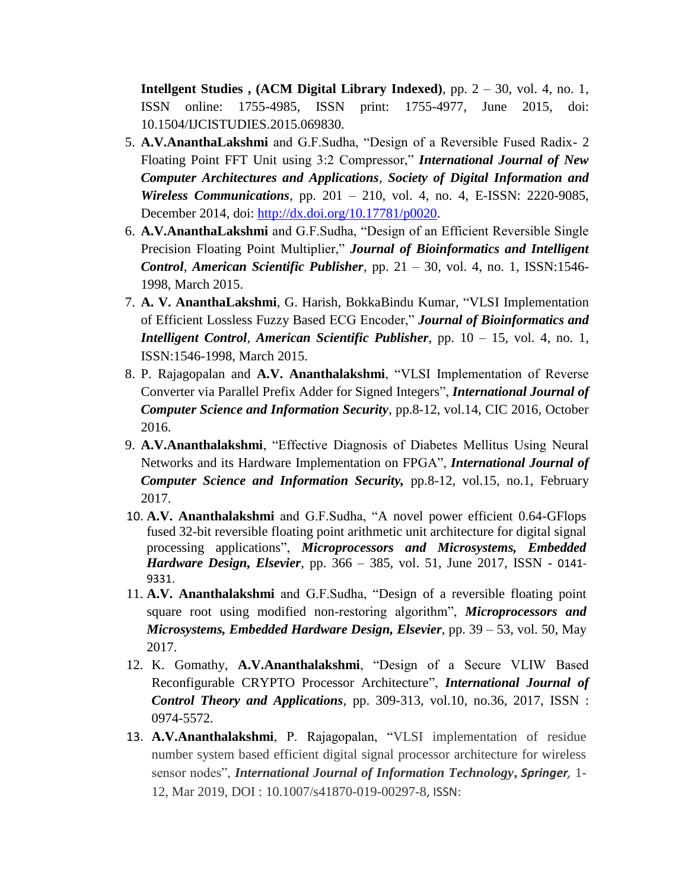**Intellgent Studies , (ACM Digital Library Indexed)**, pp. 2 – 30, vol. 4, no. 1, ISSN online: 1755-4985, ISSN print: 1755-4977, June 2015, doi: 10.1504/IJCISTUDIES.2015.069830.

- 5. **A.V.AnanthaLakshmi** and G.F.Sudha, "Design of a Reversible Fused Radix- 2 Floating Point FFT Unit using 3:2 Compressor," *International Journal of New Computer Architectures and Applications, Society of Digital Information and Wireless Communications,* pp. 201 – 210, vol. 4, no. 4, E-ISSN: 2220-9085, December 2014, doi: [http://dx.doi.org/10.17781/p0020.](http://dx.doi.org/10.17781/p0020)
- 6. **A.V.AnanthaLakshmi** and G.F.Sudha, "Design of an Efficient Reversible Single Precision Floating Point Multiplier," *Journal of Bioinformatics and Intelligent Control, American Scientific Publisher*, pp. 21 – 30, vol. 4, no. 1, ISSN:1546- 1998, March 2015.
- 7. **A. V. AnanthaLakshmi**, G. Harish, BokkaBindu Kumar, "VLSI Implementation of Efficient Lossless Fuzzy Based ECG Encoder," *Journal of Bioinformatics and Intelligent Control, American Scientific Publisher*, pp. 10 – 15, vol. 4, no. 1, ISSN:1546-1998, March 2015.
- 8. P. Rajagopalan and **A.V. Ananthalakshmi**, "VLSI Implementation of Reverse Converter via Parallel Prefix Adder for Signed Integers", *International Journal of Computer Science and Information Security*, pp.8-12, vol.14, CIC 2016, October 2016.
- 9. **A.V.Ananthalakshmi**, "Effective Diagnosis of Diabetes Mellitus Using Neural Networks and its Hardware Implementation on FPGA", *International Journal of Computer Science and Information Security,* pp.8-12, vol.15, no.1, February 2017.
- 10. **A.V. Ananthalakshmi** and G.F.Sudha, ["A novel power efficient 0.64-GFlops](http://www.sciencedirect.com/science/article/pii/S0141933117300133)  [fused 32-bit reversible floating point arithmetic unit architecture for digital signal](http://www.sciencedirect.com/science/article/pii/S0141933117300133)  [processing applications"](http://www.sciencedirect.com/science/article/pii/S0141933117300133), *Microprocessors and Microsystems, Embedded Hardware Design, Elsevier*, pp. 366 – 385, vol. 51, June 2017, ISSN - 0141- 9331.
- 11. **A.V. Ananthalakshmi** and G.F.Sudha, ["Design](http://www.sciencedirect.com/science/article/pii/S0141933117300133) of a reversible floating point square root using modified non-restoring algorithm", *Microprocessors and Microsystems, Embedded Hardware Design, Elsevier*, pp. 39 – 53, vol. 50, May 2017.
- 12. K. Gomathy, **A.V.Ananthalakshmi**, "Design of a Secure VLIW Based Reconfigurable CRYPTO Processor Architecture", *International Journal of Control Theory and Applications*, pp. 309-313, vol.10, no.36, 2017, ISSN : 0974-5572.
- 13. **A.V.Ananthalakshmi**, P. Rajagopalan, "VLSI implementation of residue number system based efficient digital signal processor architecture for wireless sensor nodes", *International Journal of Information Technology***,** *Springer,* 1- 12, Mar 2019, DOI : 10.1007/s41870-019-00297-8, ISSN: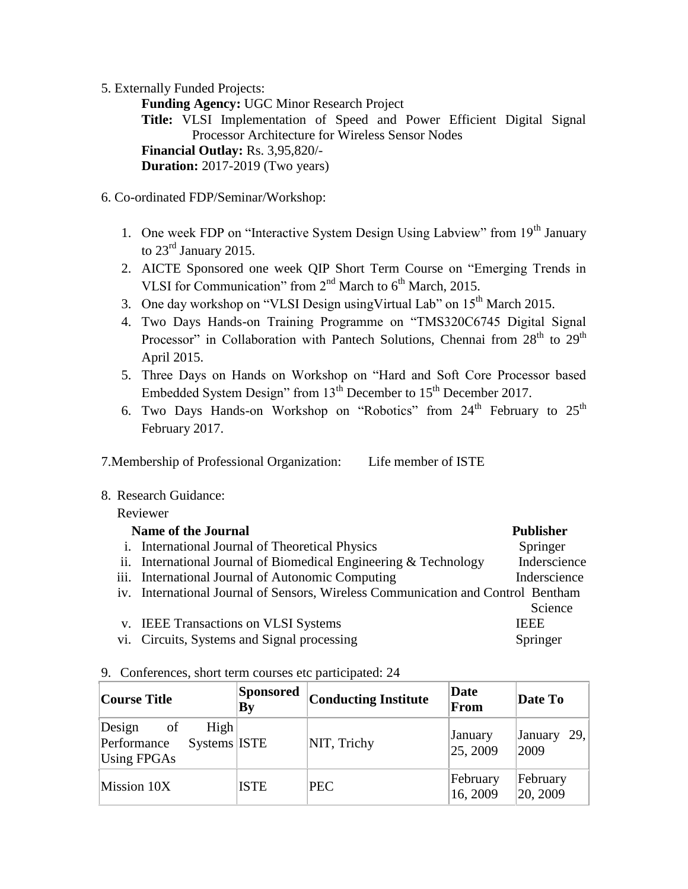5. Externally Funded Projects:

**Funding Agency:** UGC Minor Research Project **Title:** VLSI Implementation of Speed and Power Efficient Digital Signal Processor Architecture for Wireless Sensor Nodes  **Financial Outlay:** Rs. 3,95,820/-  **Duration:** 2017-2019 (Two years)

- 6. Co-ordinated FDP/Seminar/Workshop:
	- 1. One week FDP on "Interactive System Design Using Labview" from 19<sup>th</sup> January to 23<sup>rd</sup> January 2015.
	- 2. AICTE Sponsored one week QIP Short Term Course on "Emerging Trends in VLSI for Communication" from  $2<sup>nd</sup>$  March to  $6<sup>th</sup>$  March, 2015.
	- 3. One day workshop on "VLSI Design using Virtual Lab" on  $15<sup>th</sup>$  March 2015.
	- 4. Two Days Hands-on Training Programme on "TMS320C6745 Digital Signal Processor" in Collaboration with Pantech Solutions, Chennai from 28<sup>th</sup> to 29<sup>th</sup> April 2015.
	- 5. Three Days on Hands on Workshop on "Hard and Soft Core Processor based Embedded System Design" from 13<sup>th</sup> December to 15<sup>th</sup> December 2017.
	- 6. Two Days Hands-on Workshop on "Robotics" from  $24<sup>th</sup>$  February to  $25<sup>th</sup>$ February 2017.

7.Membership of Professional Organization: Life member of ISTE

8. Research Guidance:

### Reviewer

| <b>Name of the Journal</b>                                                       | <b>Publisher</b> |
|----------------------------------------------------------------------------------|------------------|
| i. International Journal of Theoretical Physics                                  | Springer         |
| ii. International Journal of Biomedical Engineering & Technology                 | Inderscience     |
| iii. International Journal of Autonomic Computing                                | Inderscience     |
| iv. International Journal of Sensors, Wireless Communication and Control Bentham |                  |
|                                                                                  | Science          |
| v. IEEE Transactions on VLSI Systems                                             | <b>IEEE</b>      |
| vi. Circuits, Systems and Signal processing                                      | Springer         |

### 9. Conferences, short term courses etc participated: 24

| Course Title                                                                      | <b>Sponsored</b><br>By | <b>Conducting Institute</b> | Date<br>From         | Date To              |
|-----------------------------------------------------------------------------------|------------------------|-----------------------------|----------------------|----------------------|
| High<br>Design<br>$\circ$ of<br>Systems ISTE<br>Performance<br><b>Using FPGAs</b> |                        | NIT, Trichy                 | January<br>25, 2009  | January 29,<br>2009  |
| Mission 10X                                                                       | <b>ISTE</b>            | <b>PEC</b>                  | February<br>16, 2009 | February<br>20, 2009 |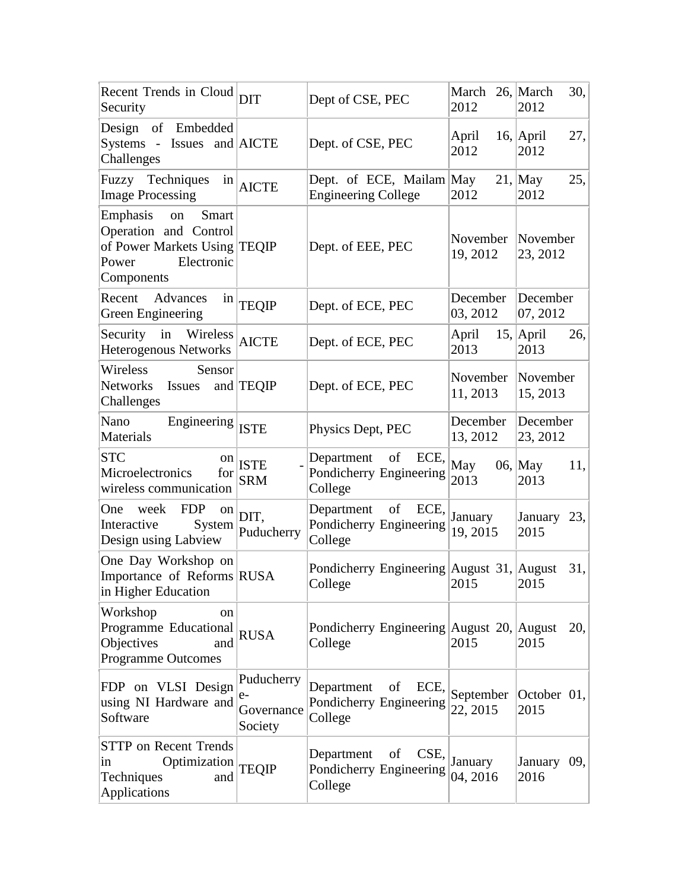| Recent Trends in Cloud DIT<br>Security                                                                                |                                             | Dept of CSE, PEC                                               | March 26, March<br>2012 | 30,<br>2012                 |
|-----------------------------------------------------------------------------------------------------------------------|---------------------------------------------|----------------------------------------------------------------|-------------------------|-----------------------------|
| Design of Embedded<br>Systems - Issues and AICTE<br>Challenges                                                        |                                             | Dept. of CSE, PEC                                              | April<br>2012           | $16$ , April<br>27,<br>2012 |
| Fuzzy Techniques<br><b>Image Processing</b>                                                                           | $\frac{\text{in}}{\text{AICTE}}$            | Dept. of ECE, Mailam May<br><b>Engineering College</b>         | 2012                    | $21$ , May<br>25,<br>2012   |
| Emphasis<br>Smart<br>on<br>Operation and Control<br>of Power Markets Using TEQIP<br>Electronic<br>Power<br>Components |                                             | Dept. of EEE, PEC                                              | November<br>19, 2012    | November<br>23, 2012        |
| Recent Advances<br>$\frac{1}{2}$<br>Green Engineering                                                                 | <b>TEQIP</b>                                | Dept. of ECE, PEC                                              | December<br>03, 2012    | December<br>07, 2012        |
| Security in Wireless<br>Heterogenous Networks                                                                         | <b>AICTE</b>                                | Dept. of ECE, PEC                                              | April<br>2013           | $15$ , April<br>26,<br>2013 |
| Wireless<br>Sensor<br>Networks Issues<br>Challenges                                                                   | and TEQIP                                   | Dept. of ECE, PEC                                              | November<br>11, 2013    | November<br>15, 2013        |
| Nano<br>Engineering ISTE<br>Materials                                                                                 |                                             | Physics Dept, PEC                                              | December<br>13, 2012    | December<br>23, 2012        |
| <b>STC</b><br>on  <br>Microelectronics<br>for<br>wireless communication                                               | ISTE<br><b>SRM</b>                          | Department of ECE,<br>Pondicherry Engineering<br>College       | May<br>2013             | $06$ , May<br>11,<br>2013   |
| <b>FDP</b><br>One<br>week<br><sub>on</sub><br>System<br>Interactive<br>Design using Labview                           | DIT,<br>Puducherry                          | Department<br>of<br>ECE,<br>Pondicherry Engineering<br>College | January<br>19, 2015     | January 23,<br>2015         |
| One Day Workshop on<br>Importance of Reforms RUSA<br>in Higher Education                                              |                                             | Pondicherry Engineering August 31, August<br>College           | 2015                    | 31,<br>2015                 |
| Workshop<br>on<br>Programme Educational<br>Objectives<br>and<br><b>Programme Outcomes</b>                             | <b>RUSA</b>                                 | Pondicherry Engineering August 20, August<br>College           | 2015                    | 20,<br>2015                 |
| FDP on VLSI Design<br>using NI Hardware and<br>Software                                                               | Puducherry<br>$e-$<br>Governance<br>Society | Department<br>of<br>ECE,<br>Pondicherry Engineering<br>College | September<br>22, 2015   | October 01,<br>2015         |
| <b>STTP</b> on Recent Trends<br>Optimization<br>$\overline{1}n$<br>Techniques<br>and<br>Applications                  | <b>TEQIP</b>                                | CSE,<br>Department<br>of<br>Pondicherry Engineering<br>College | January<br>04, 2016     | January 09,<br>2016         |